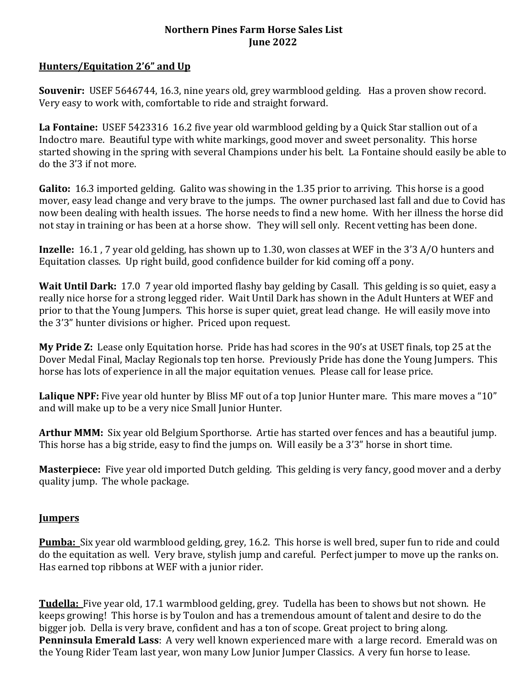### **Northern Pines Farm Horse Sales List June 2022**

## **Hunters/Equitation 2'6" and Up**

**Souvenir:** USEF 5646744, 16.3, nine years old, grey warmblood gelding. Has a proven show record. Very easy to work with, comfortable to ride and straight forward.

**La Fontaine:** USEF 5423316 16.2 five year old warmblood gelding by a Quick Star stallion out of a Indoctro mare. Beautiful type with white markings, good mover and sweet personality. This horse started showing in the spring with several Champions under his belt. La Fontaine should easily be able to do the 3'3 if not more.

**Galito:** 16.3 imported gelding. Galito was showing in the 1.35 prior to arriving. This horse is a good mover, easy lead change and very brave to the jumps. The owner purchased last fall and due to Covid has now been dealing with health issues. The horse needs to find a new home. With her illness the horse did not stay in training or has been at a horse show. They will sell only. Recent vetting has been done.

**Inzelle:** 16.1 , 7 year old gelding, has shown up to 1.30, won classes at WEF in the 3'3 A/O hunters and Equitation classes. Up right build, good confidence builder for kid coming off a pony.

**Wait Until Dark:** 17.0 7 year old imported flashy bay gelding by Casall. This gelding is so quiet, easy a really nice horse for a strong legged rider. Wait Until Dark has shown in the Adult Hunters at WEF and prior to that the Young Jumpers. This horse is super quiet, great lead change. He will easily move into the 3'3" hunter divisions or higher. Priced upon request.

**My Pride Z:** Lease only Equitation horse. Pride has had scores in the 90's at USET finals, top 25 at the Dover Medal Final, Maclay Regionals top ten horse. Previously Pride has done the Young Jumpers. This horse has lots of experience in all the major equitation venues. Please call for lease price.

**Lalique NPF:** Five year old hunter by Bliss MF out of a top Junior Hunter mare. This mare moves a "10" and will make up to be a very nice Small Junior Hunter.

**Arthur MMM:** Six year old Belgium Sporthorse. Artie has started over fences and has a beautiful jump. This horse has a big stride, easy to find the jumps on. Will easily be a 3'3" horse in short time.

**Masterpiece:** Five year old imported Dutch gelding. This gelding is very fancy, good mover and a derby quality jump. The whole package.

# **Jumpers**

**Pumba:** Six year old warmblood gelding, grey, 16.2. This horse is well bred, super fun to ride and could do the equitation as well. Very brave, stylish jump and careful. Perfect jumper to move up the ranks on. Has earned top ribbons at WEF with a junior rider.

**Tudella:** Five year old, 17.1 warmblood gelding, grey. Tudella has been to shows but not shown. He keeps growing! This horse is by Toulon and has a tremendous amount of talent and desire to do the bigger job. Della is very brave, confident and has a ton of scope. Great project to bring along. **Penninsula Emerald Lass**: A very well known experienced mare with a large record. Emerald was on the Young Rider Team last year, won many Low Junior Jumper Classics. A very fun horse to lease.